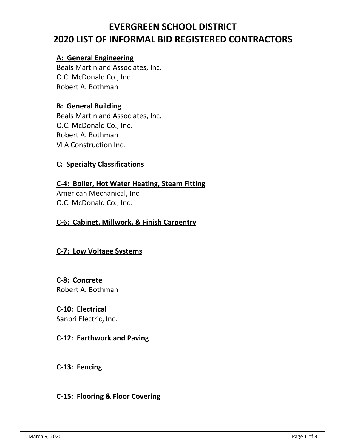# **EVERGREEN SCHOOL DISTRICT 2020 LIST OF INFORMAL BID REGISTERED CONTRACTORS**

## **A: General Engineering**

Beals Martin and Associates, Inc. O.C. McDonald Co., Inc. Robert A. Bothman

# **B: General Building**

Beals Martin and Associates, Inc. O.C. McDonald Co., Inc. Robert A. Bothman VLA Construction Inc.

# **C: Specialty Classifications**

**C-4: Boiler, Hot Water Heating, Steam Fitting** American Mechanical, Inc. O.C. McDonald Co., Inc.

## **C-6: Cabinet, Millwork, & Finish Carpentry**

## **C-7: Low Voltage Systems**

# **C-8: Concrete** Robert A. Bothman

## **C-10: Electrical**

Sanpri Electric, Inc.

## **C-12: Earthwork and Paving**

**C-13: Fencing**

## **C-15: Flooring & Floor Covering**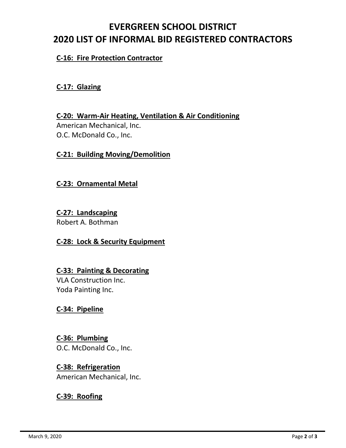# **EVERGREEN SCHOOL DISTRICT 2020 LIST OF INFORMAL BID REGISTERED CONTRACTORS**

## **C-16: Fire Protection Contractor**

## **C-17: Glazing**

**C-20: Warm-Air Heating, Ventilation & Air Conditioning** American Mechanical, Inc. O.C. McDonald Co., Inc.

#### **C-21: Building Moving/Demolition**

#### **C-23: Ornamental Metal**

**C-27: Landscaping** Robert A. Bothman

## **C-28: Lock & Security Equipment**

## **C-33: Painting & Decorating**

VLA Construction Inc. Yoda Painting Inc.

## **C-34: Pipeline**

# **C-36: Plumbing**

O.C. McDonald Co., Inc.

## **C-38: Refrigeration**

American Mechanical, Inc.

## **C-39: Roofing**